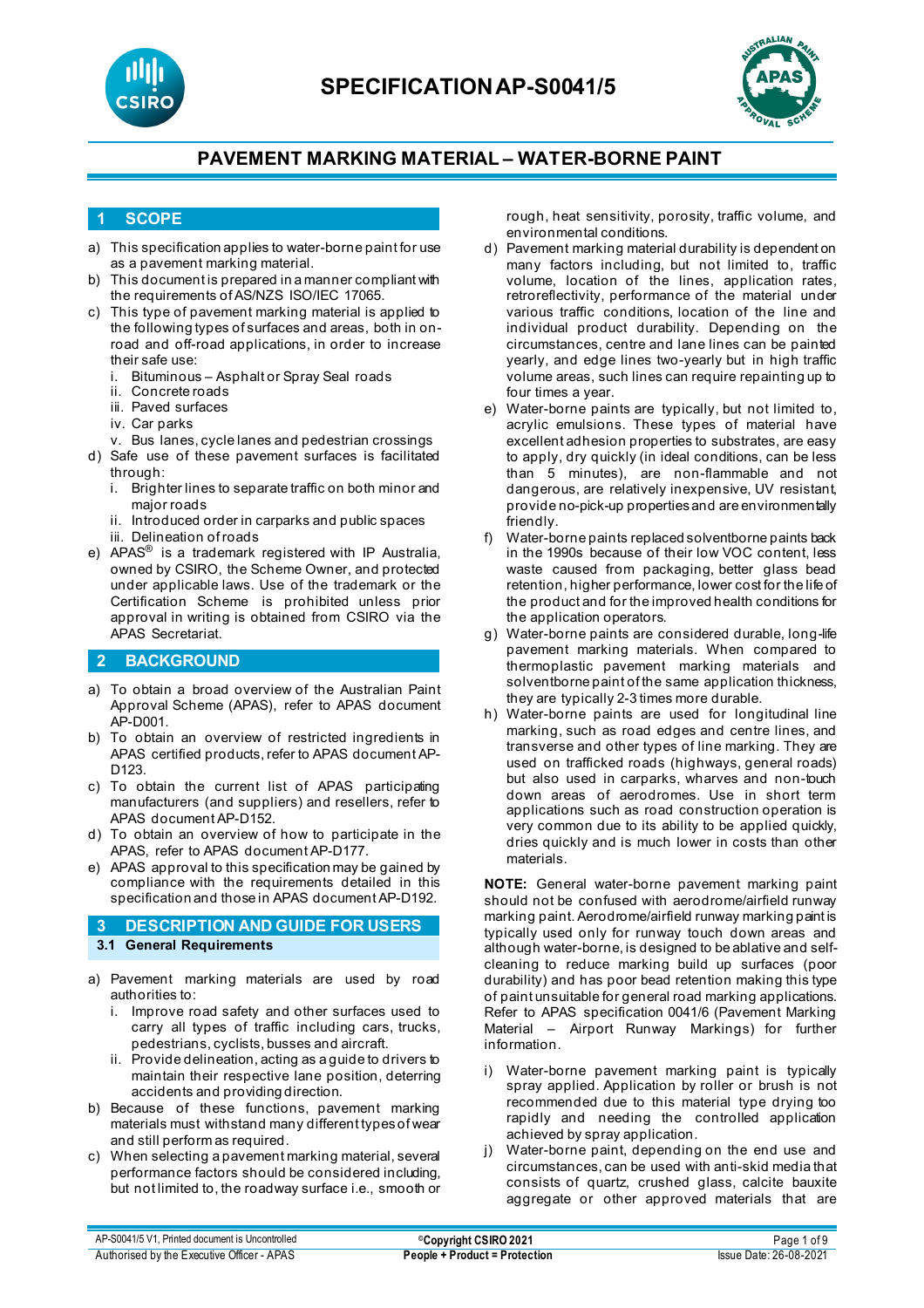



## **1 SCOPE**

- a) This specification applies to water-borne paint for use as a pavement marking material.
- b) This document is prepared in a manner compliant with the requirements of AS/NZS ISO/IEC 17065.
- c) This type of pavement marking material is applied to the following types of surfaces and areas, both in onroad and off-road applications, in order to increase
	- their safe use:<br>i. Bituminous i. Bituminous – Asphalt or Spray Seal roads
	- Concrete roads
	- iii. Paved surfaces
	- iv. Car parks
	- v. Bus lanes, cycle lanes and pedestrian crossings
- d) Safe use of these pavement surfaces is facilitated through:
	- i. Brighter lines to separate traffic on both minor and major roads
	- ii. Introduced order in carparks and public spaces
	- iii. Delineation of roads
- e) APAS® is a trademark registered with IP Australia, owned by CSIRO, the Scheme Owner, and protected under applicable laws. Use of the trademark or the Certification Scheme is prohibited unless prior approval in writing is obtained from CSIRO via the APAS Secretariat.

## **2 BACKGROUND**

- a) To obtain a broad overview of the Australian Paint Approval Scheme (APAS), refer to APAS document AP-D001.
- b) To obtain an overview of restricted ingredients in APAS certified products, refer to APAS document AP-D123.
- c) To obtain the current list of APAS participating manufacturers (and suppliers) and resellers, refer to APAS document AP-D152.
- d) To obtain an overview of how to participate in the APAS, refer to APAS document AP-D177.
- e) APAS approval to this specification may be gained by compliance with the requirements detailed in this specification and those in APAS document AP-D192.

## **3 DESCRIPTION AND GUIDE FOR USERS 3.1 General Requirements**

- a) Pavement marking materials are used by road authorities to:
	- i. Improve road safety and other surfaces used to carry all types of traffic including cars, trucks, pedestrians, cyclists, busses and aircraft.
	- ii. Provide delineation, acting as a guide to drivers to maintain their respective lane position, deterring accidents and providing direction.
- b) Because of these functions, pavement marking materials must withstand many different types of wear and still perform as required.
- c) When selecting a pavement marking material, several performance factors should be considered including, but not limited to, the roadway surface i.e., smooth or

rough, heat sensitivity, porosity, traffic volume, and environmental conditions.

- d) Pavement marking material durability is dependent on many factors including, but not limited to, traffic volume, location of the lines, application rates, retroreflectivity, performance of the material under various traffic conditions, location of the line and individual product durability. Depending on the circumstances, centre and lane lines can be painted yearly, and edge lines two-yearly but in high traffic volume areas, such lines can require repainting up to four times a year.
- e) Water-borne paints are typically, but not limited to, acrylic emulsions. These types of material have excellent adhesion properties to substrates, are easy to apply, dry quickly (in ideal conditions, can be less than 5 minutes), are non-flammable and not dangerous, are relatively inexpensive, UV resistant, provide no-pick-up properties and are environmentally friendly.
- f) Water-borne paints replaced solventborne paints back in the 1990s because of their low VOC content, less waste caused from packaging, better glass bead retention, higher performance, lower cost for the life of the product and for the improved health conditions for the application operators.
- g) Water-borne paints are considered durable, long-life pavement marking materials. When compared to thermoplastic pavement marking materials and solventborne paint of the same application thickness, they are typically 2-3 times more durable.
- h) Water-borne paints are used for longitudinal line marking, such as road edges and centre lines, and transverse and other types of line marking. They are used on trafficked roads (highways, general roads) but also used in carparks, wharves and non-touch down areas of aerodromes. Use in short term applications such as road construction operation is very common due to its ability to be applied quickly, dries quickly and is much lower in costs than other materials.

**NOTE:** General water-borne pavement marking paint should not be confused with aerodrome/airfield runway marking paint. Aerodrome/airfield runway marking paint is typically used only for runway touch down areas and although water-borne, is designed to be ablative and selfcleaning to reduce marking build up surfaces (poor durability) and has poor bead retention making this type of paint unsuitable for general road marking applications. Refer to APAS specification 0041/6 (Pavement Marking Material – Airport Runway Markings) for further information.

- i) Water-borne pavement marking paint is typically spray applied. Application by roller or brush is not recommended due to this material type drying too rapidly and needing the controlled application achieved by spray application.
- j) Water-borne paint, depending on the end use and circumstances, can be used with anti-skid media that consists of quartz, crushed glass, calcite bauxite aggregate or other approved materials that are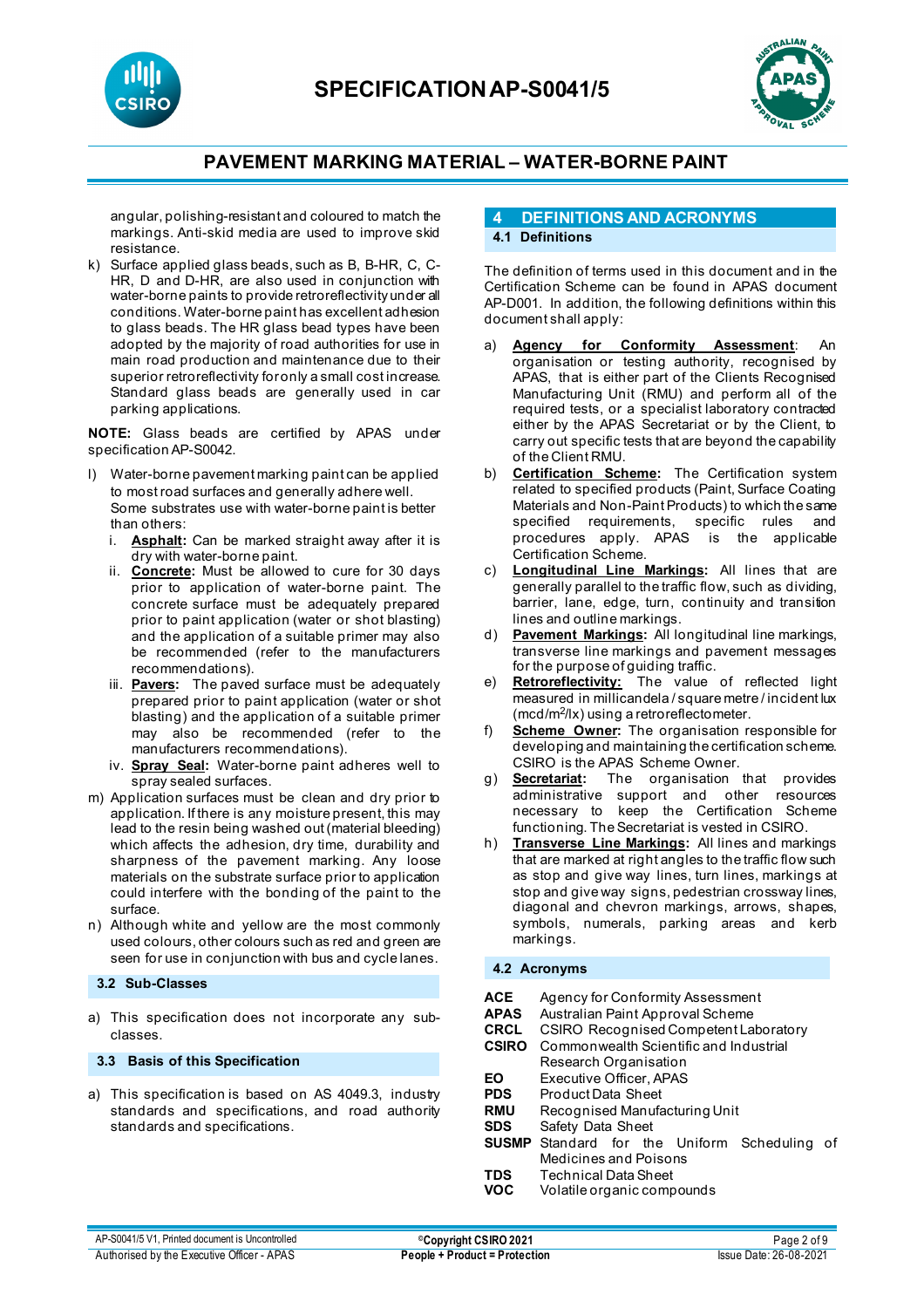



angular, polishing-resistant and coloured to match the markings. Anti-skid media are used to improve skid resistance.

k) Surface applied glass beads, such as B, B-HR, C, C-HR, D and D-HR, are also used in conjunction with water-borne paints to provide retroreflectivity under all conditions. Water-borne paint has excellent adhesion to glass beads. The HR glass bead types have been adopted by the majority of road authorities for use in main road production and maintenance due to their superior retroreflectivity for only a small cost increase. Standard glass beads are generally used in car parking applications.

**NOTE:** Glass beads are certified by APAS under specification AP-S0042.

- l) Water-borne pavement marking paint can be applied to most road surfaces and generally adhere well. Some substrates use with water-borne paint is better than others:<br>i. **Asphalt:** 
	- Asphalt: Can be marked straight away after it is dry with water-borne paint.
	- ii. **Concrete:** Must be allowed to cure for 30 days prior to application of water-borne paint. The concrete surface must be adequately prepared prior to paint application (water or shot blasting) and the application of a suitable primer may also be recommended (refer to the manufacturers recommendations).
	- iii. **Pavers:** The paved surface must be adequately prepared prior to paint application (water or shot blasting) and the application of a suitable primer may also be recommended (refer to the manufacturers recommendations).
	- iv. **Spray Seal:** Water-borne paint adheres well to spray sealed surfaces.
- m) Application surfaces must be clean and dry prior to application. If there is any moisture present, this may lead to the resin being washed out (material bleeding) which affects the adhesion, dry time, durability and sharpness of the pavement marking. Any loose materials on the substrate surface prior to application could interfere with the bonding of the paint to the surface.
- n) Although white and yellow are the most commonly used colours, other colours such as red and green are seen for use in conjunction with bus and cycle lanes.

#### **3.2 Sub-Classes**

a) This specification does not incorporate any subclasses.

**3.3 Basis of this Specification**

a) This specification is based on AS 4049.3, industry standards and specifications, and road authority standards and specifications.

### **4 DEFINITIONS AND ACRONYMS 4.1 Definitions**

The definition of terms used in this document and in the Certification Scheme can be found in APAS document AP-D001. In addition, the following definitions within this document shall apply:

- a) **Agency for Conformity Assessment:** organisation or testing authority, recognised by APAS, that is either part of the Clients Recognised Manufacturing Unit (RMU) and perform all of the required tests, or a specialist laboratory contracted either by the APAS Secretariat or by the Client, to carry out specific tests that are beyond the capability of the Client RMU.
- b) **Certification Scheme:** The Certification system related to specified products (Paint, Surface Coating Materials and Non-Paint Products) to which the same specified requirements, specific rules and procedures apply. APAS is the applicable Certification Scheme.
- **Longitudinal Line Markings:** All lines that are generally parallel to the traffic flow, such as dividing, barrier, lane, edge, turn, continuity and transition lines and outline markings.
- d) **Pavement Markings:** All longitudinal line markings, transverse line markings and pavement messages for the purpose of guiding traffic.
- e) **Retroreflectivity:** The value of reflected light measured in millicandela / square metre / incident lux  $(mod/m<sup>2</sup>/lx)$  using a retroreflectometer.
- f) **Scheme Owner:** The organisation responsible for developing and maintaining the certification scheme. CSIRO is the APAS Scheme Owner.
- g) **Secretariat:** The organisation that provides administrative support and other resources necessary to keep the Certification Scheme functioning. The Secretariat is vested in CSIRO.
- h) **Transverse Line Markings:** All lines and markings that are marked at right angles to the traffic flow such as stop and give way lines, turn lines, markings at stop and give way signs, pedestrian crossway lines, diagonal and chevron markings, arrows, shapes, symbols, numerals, parking areas and kerb markings.

#### **4.2 Acronyms**

| ACE<br><b>APAS</b><br>CRCL<br><b>CSIRO</b> | Agency for Conformity Assessment<br>Australian Paint Approval Scheme<br><b>CSIRO Recognised Competent Laboratory</b><br>Commonwealth Scientific and Industrial |  |  |
|--------------------------------------------|----------------------------------------------------------------------------------------------------------------------------------------------------------------|--|--|
|                                            | Research Organisation                                                                                                                                          |  |  |
| EΟ                                         | Executive Officer, APAS                                                                                                                                        |  |  |
| <b>PDS</b>                                 | Product Data Sheet                                                                                                                                             |  |  |
| <b>RMU</b>                                 | Recognised Manufacturing Unit                                                                                                                                  |  |  |
| <b>SDS</b>                                 | Safety Data Sheet                                                                                                                                              |  |  |
| <b>SUSMP</b>                               | Standard for the Uniform Scheduling of                                                                                                                         |  |  |
| TDS<br>VOC                                 | Medicines and Poisons<br>Technical Data Sheet<br>Volatile organic compounds                                                                                    |  |  |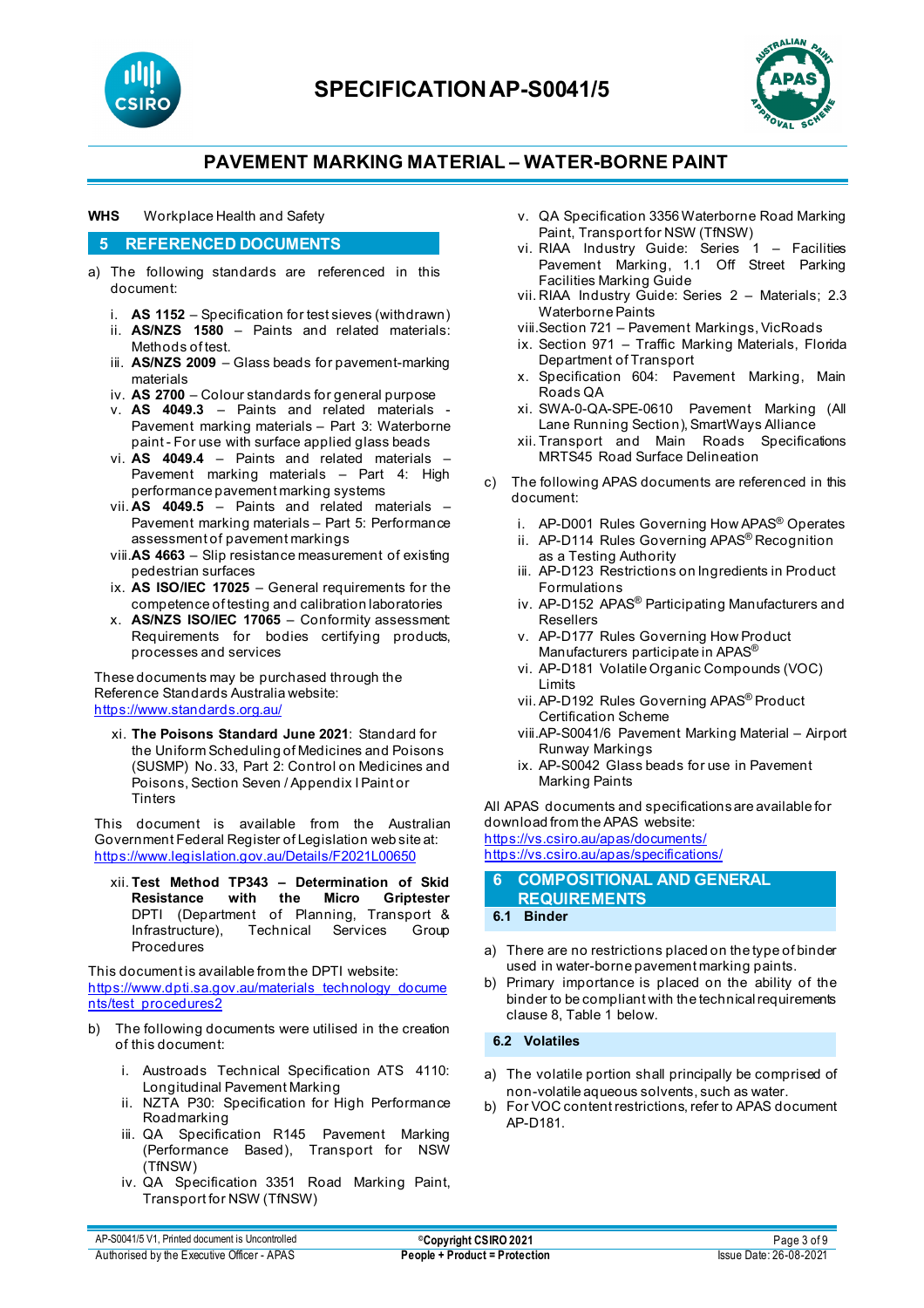



#### **WHS** Workplace Health and Safety

#### **5 REFERENCED DOCUMENTS**

- a) The following standards are referenced in this document:
	- i. **AS 1152** Specification for test sieves (withdrawn)
	- ii. **AS/NZS 1580** Paints and related materials: Methods of test.
	- iii. **AS/NZS 2009**  Glass beads for pavement-marking materials
	- iv. **AS 2700**  Colour standards for general purpose
	- v. **AS 4049.3** [Paints and related materials -](https://www.saiglobal.com/online/Script/Details.asp?DocN=AS0733764320AT) [Pavement marking materials –](https://www.saiglobal.com/online/Script/Details.asp?DocN=AS0733764320AT) Part 3: Waterborne paint - [For use with surface applied glass beads](https://www.saiglobal.com/online/Script/Details.asp?DocN=AS0733764320AT)
	- vi. **AS 4049.4** Paints and related materials Pavement marking materials – Part 4: High performance pavement marking systems
	- vii. **AS 4049.5** Paints and related materials Pavement marking materials – Part 5: Performance assessment of pavement markings
	- viii.**AS 4663**  Slip resistance measurement of existing pedestrian surfaces
	- ix. **AS ISO/IEC 17025** General requirements for the competence of testing and calibration laboratories
	- x. **AS/NZS ISO/IEC 17065**  Conformity assessment: Requirements for bodies certifying products, processes and services

These documents may be purchased through the Reference Standards Australia website: <https://www.standards.org.au/>

xi. **The Poisons Standard June 2021**: Standard for the Uniform Scheduling of Medicines and Poisons (SUSMP) No. 33, Part 2: Control on Medicines and Poisons, Section Seven / Appendix I Paint or **Tinters** 

This document is available from the Australian Government Federal Register of Legislation web site at: <https://www.legislation.gov.au/Details/F2021L00650>

xii. **Test Method TP343 – Determination of Skid Resistance with the Micro Griptester** DPTI (Department of Planning, Transport & Infrastructure), Technical Services Group **Procedures** 

This document is available from the DPTI website: [https://www.dpti.sa.gov.au/materials\\_technology\\_docume](https://www.dpti.sa.gov.au/materials_technology_documents/test_procedures2) [nts/test\\_procedures2](https://www.dpti.sa.gov.au/materials_technology_documents/test_procedures2)

- b) The following documents were utilised in the creation of this document:
	- i. Austroads Technical Specification ATS 4110: Longitudinal Pavement Marking
	- ii. NZTA P30: Specification for High Performance Roadmarking
	- iii. QA Specification R145 Pavement Marking (Performance Based), Transport for NSW (TfNSW)
	- iv. QA Specification 3351 Road Marking Paint, Transport for NSW (TfNSW)
- v. QA Specification 3356 Waterborne Road Marking Paint, Transport for NSW (TfNSW)
- vi. RIAA Industry Guide: Series 1 Facilities Pavement Marking, 1.1 Off Street Parking Facilities Marking Guide
- vii. RIAA Industry Guide: Series 2 Materials; 2.3 Waterborne Paints
- viii.Section 721 Pavement Markings, VicRoads
- ix. Section 971 Traffic Marking Materials, Florida Department of Transport
- x. Specification 604: Pavement Marking, Main Roads QA
- xi. SWA-0-QA-SPE-0610 Pavement Marking (All Lane Running Section), SmartWays Alliance
- xii. Transport and Main Roads Specifications MRTS45 Road Surface Delineation
- c) The following APAS documents are referenced in this document:
	- i. AP-D001 Rules Governing How APAS® Operates
	- ii. AP-D114 Rules Governing APAS® Recognition as a Testing Authority
	- iii. AP-D123 Restrictions on Ingredients in Product Formulations
	- iv. AP-D152 APAS® Participating Manufacturers and Resellers
	- v. AP-D177 Rules Governing How Product Manufacturers participate in APAS®
	- vi. AP-D181 Volatile Organic Compounds (VOC) Limits
	- vii. AP-D192 Rules Governing APAS® Product Certification Scheme
	- viii.AP-S0041/6 Pavement Marking Material Airport Runway Markings
	- ix. AP-S0042 Glass beads for use in Pavement Marking Paints

All APAS documents and specifications are available for download from the APAS website: <https://vs.csiro.au/apas/documents/>

<https://vs.csiro.au/apas/specifications/>

**6 COMPOSITIONAL AND GENERAL REQUIREMENTS**

## **6.1 Binder**

- a) There are no restrictions placed on the type of binder used in water-borne pavement marking paints.
- b) Primary importance is placed on the ability of the binder to be compliant with the technical requirements clause 8, Table 1 below.

**6.2 Volatiles**

- a) The volatile portion shall principally be comprised of non-volatile aqueous solvents, such as water.
- b) For VOC content restrictions, refer to APAS document AP-D181.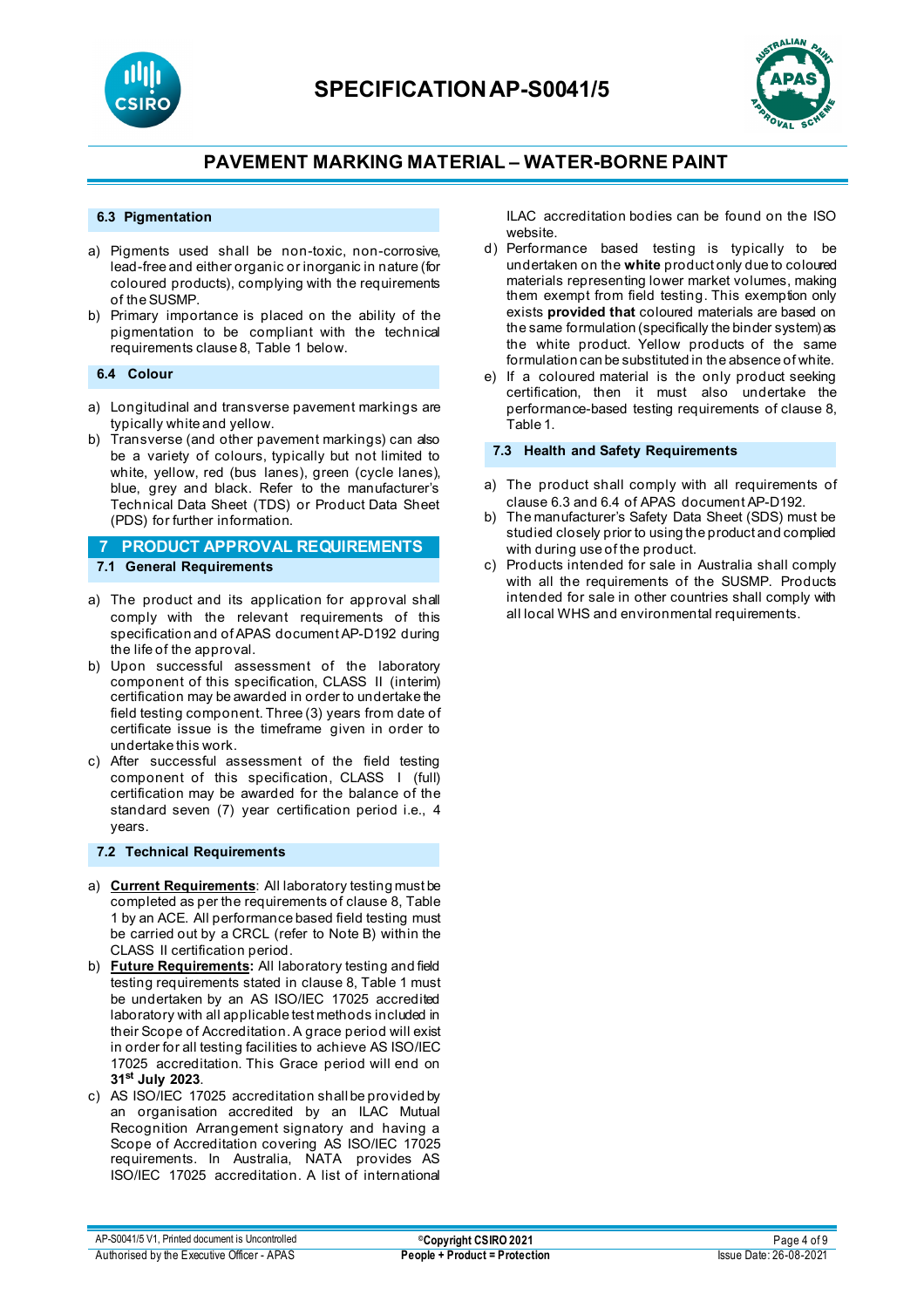



#### **6.3 Pigmentation**

- a) Pigments used shall be non-toxic, non-corrosive, lead-free and either organic or inorganic in nature (for coloured products), complying with the requirements of the SUSMP.
- b) Primary importance is placed on the ability of the pigmentation to be compliant with the technical requirements clause 8, Table 1 below.

#### **6.4 Colour**

- a) Longitudinal and transverse pavement markings are typically white and yellow.
- b) Transverse (and other pavement markings) can also be a variety of colours, typically but not limited to white, yellow, red (bus lanes), green (cycle lanes), blue, grey and black. Refer to the manufacturer's Technical Data Sheet (TDS) or Product Data Sheet (PDS) for further information.

## **7 PRODUCT APPROVAL REQUIREMENTS 7.1 General Requirements**

- a) The product and its application for approval shall comply with the relevant requirements of this specification and of APAS document AP-D192 during the life of the approval.
- b) Upon successful assessment of the laboratory component of this specification, CLASS II (interim) certification may be awarded in order to undertake the field testing component. Three (3) years from date of certificate issue is the timeframe given in order to undertake this work.
- c) After successful assessment of the field testing component of this specification, CLASS I (full) certification may be awarded for the balance of the standard seven (7) year certification period i.e., 4 years.

#### **7.2 Technical Requirements**

- a) **Current Requirements**: All laboratory testing must be completed as per the requirements of clause 8, Table 1 by an ACE. All performance based field testing must be carried out by a CRCL (refer to Note B) within the CLASS II certification period.
- b) **Future Requirements:** All laboratory testing and field testing requirements stated in clause 8, Table 1 must be undertaken by an AS ISO/IEC 17025 accredited laboratory with all applicable test methods included in their Scope of Accreditation. A grace period will exist in order for all testing facilities to achieve AS ISO/IEC 17025 accreditation. This Grace period will end on **31st July 2023**.
- c) AS ISO/IEC 17025 accreditation shall be provided by an organisation accredited by an ILAC Mutual Recognition Arrangement signatory and having a Scope of Accreditation covering AS ISO/IEC 17025 requirements. In Australia, NATA provides AS ISO/IEC 17025 accreditation. A list of international

ILAC accreditation bodies can be found on the ISO website.

- d) Performance based testing is typically to be undertaken on the **white** product only due to coloured materials representing lower market volumes, making them exempt from field testing. This exemption only exists **provided that** coloured materials are based on the same formulation (specifically the binder system) as the white product. Yellow products of the same formulation can be substituted in the absence of white.
- e) If a coloured material is the only product seeking certification, then it must also undertake the performance-based testing requirements of clause 8, Table 1.

#### **7.3 Health and Safety Requirements**

- a) The product shall comply with all requirements of clause 6.3 and 6.4 of APAS document AP-D192.
- b) The manufacturer's Safety Data Sheet (SDS) must be studied closely prior to using the product and complied with during use of the product.
- c) Products intended for sale in Australia shall comply with all the requirements of the SUSMP. Products intended for sale in other countries shall comply with all local WHS and environmental requirements.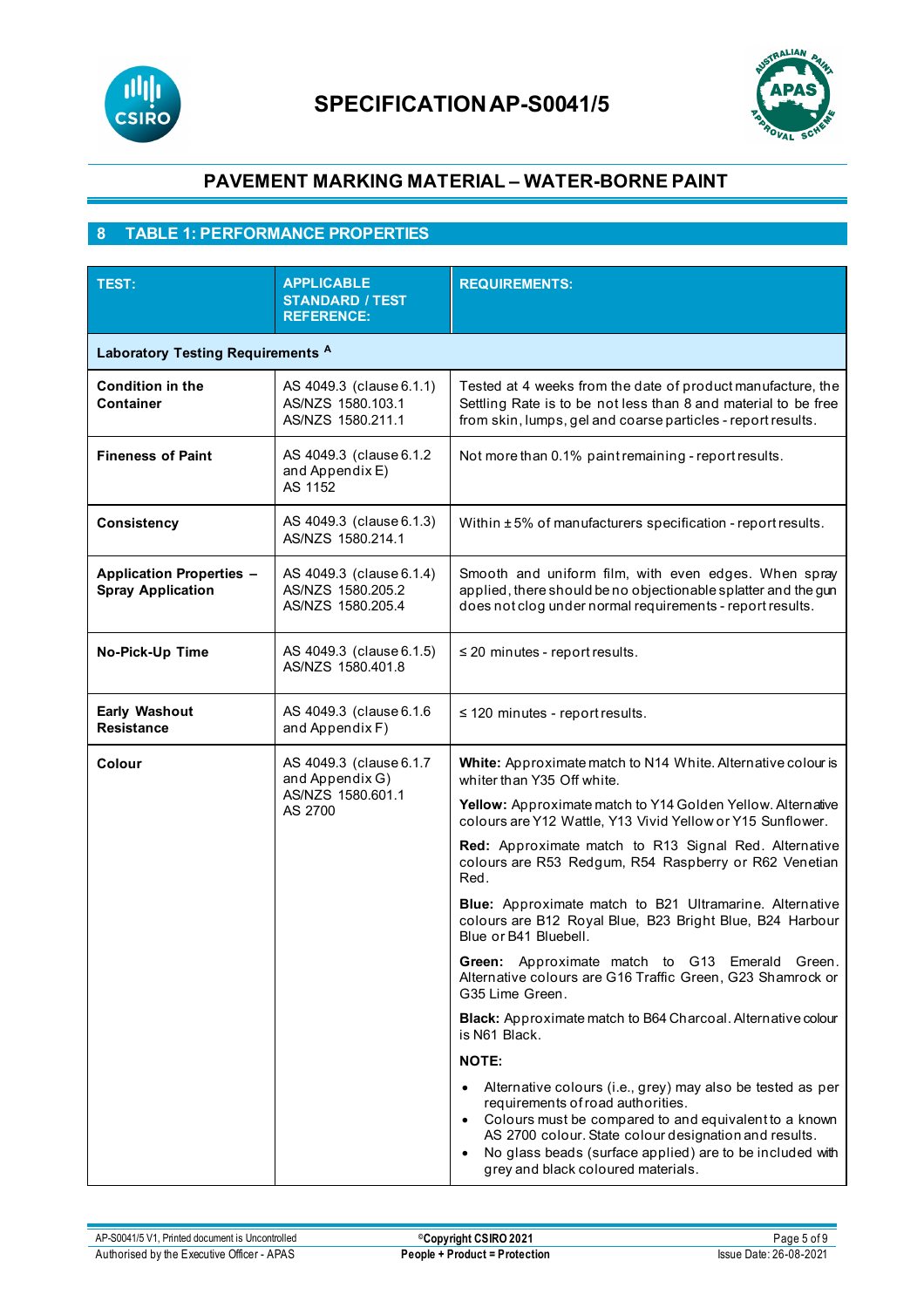



# **8 TABLE 1: PERFORMANCE PROPERTIES**

| <b>TEST:</b>                                                | <b>APPLICABLE</b><br><b>STANDARD / TEST</b><br><b>REFERENCE:</b>           | <b>REQUIREMENTS:</b>                                                                                                                                                                                                                                                                                                             |  |  |
|-------------------------------------------------------------|----------------------------------------------------------------------------|----------------------------------------------------------------------------------------------------------------------------------------------------------------------------------------------------------------------------------------------------------------------------------------------------------------------------------|--|--|
| Laboratory Testing Requirements A                           |                                                                            |                                                                                                                                                                                                                                                                                                                                  |  |  |
| <b>Condition in the</b><br>Container                        | AS 4049.3 (clause 6.1.1)<br>AS/NZS 1580.103.1<br>AS/NZS 1580.211.1         | Tested at 4 weeks from the date of product manufacture, the<br>Settling Rate is to be not less than 8 and material to be free<br>from skin, lumps, gel and coarse particles - report results.                                                                                                                                    |  |  |
| <b>Fineness of Paint</b>                                    | AS 4049.3 (clause 6.1.2)<br>and Appendix E)<br>AS 1152                     | Not more than 0.1% paint remaining - report results.                                                                                                                                                                                                                                                                             |  |  |
| <b>Consistency</b>                                          | AS 4049.3 (clause 6.1.3)<br>AS/NZS 1580.214.1                              | Within ±5% of manufacturers specification - report results.                                                                                                                                                                                                                                                                      |  |  |
| <b>Application Properties -</b><br><b>Spray Application</b> | AS 4049.3 (clause 6.1.4)<br>AS/NZS 1580.205.2<br>AS/NZS 1580.205.4         | Smooth and uniform film, with even edges. When spray<br>applied, there should be no objectionable splatter and the gun<br>does not clog under normal requirements - report results.                                                                                                                                              |  |  |
| No-Pick-Up Time                                             | AS 4049.3 (clause 6.1.5)<br>AS/NZS 1580.401.8                              | $\leq$ 20 minutes - report results.                                                                                                                                                                                                                                                                                              |  |  |
| <b>Early Washout</b><br><b>Resistance</b>                   | AS 4049.3 (clause 6.1.6<br>and Appendix F)                                 | $\leq$ 120 minutes - report results.                                                                                                                                                                                                                                                                                             |  |  |
| Colour                                                      | AS 4049.3 (clause 6.1.7<br>and Appendix G)<br>AS/NZS 1580.601.1<br>AS 2700 | White: Approximate match to N14 White. Alternative colour is<br>whiter than Y35 Off white.                                                                                                                                                                                                                                       |  |  |
|                                                             |                                                                            | Yellow: Approximate match to Y14 Golden Yellow. Alternative<br>colours are Y12 Wattle, Y13 Vivid Yellow or Y15 Sunflower.                                                                                                                                                                                                        |  |  |
|                                                             |                                                                            | Red: Approximate match to R13 Signal Red. Alternative<br>colours are R53 Redgum, R54 Raspberry or R62 Venetian<br>Red.                                                                                                                                                                                                           |  |  |
|                                                             |                                                                            | Blue: Approximate match to B21 Ultramarine. Alternative<br>colours are B12 Royal Blue, B23 Bright Blue, B24 Harbour<br>Blue or B41 Bluebell.                                                                                                                                                                                     |  |  |
|                                                             |                                                                            | Green: Approximate match to G13 Emerald Green.<br>Alternative colours are G16 Traffic Green, G23 Shamrock or<br>G35 Lime Green.                                                                                                                                                                                                  |  |  |
|                                                             |                                                                            | Black: Approximate match to B64 Charcoal. Alternative colour<br>is N61 Black.                                                                                                                                                                                                                                                    |  |  |
|                                                             |                                                                            | <b>NOTE:</b>                                                                                                                                                                                                                                                                                                                     |  |  |
|                                                             |                                                                            | Alternative colours (i.e., grey) may also be tested as per<br>requirements of road authorities.<br>Colours must be compared to and equivalent to a known<br>$\bullet$<br>AS 2700 colour. State colour designation and results.<br>No glass beads (surface applied) are to be included with<br>grey and black coloured materials. |  |  |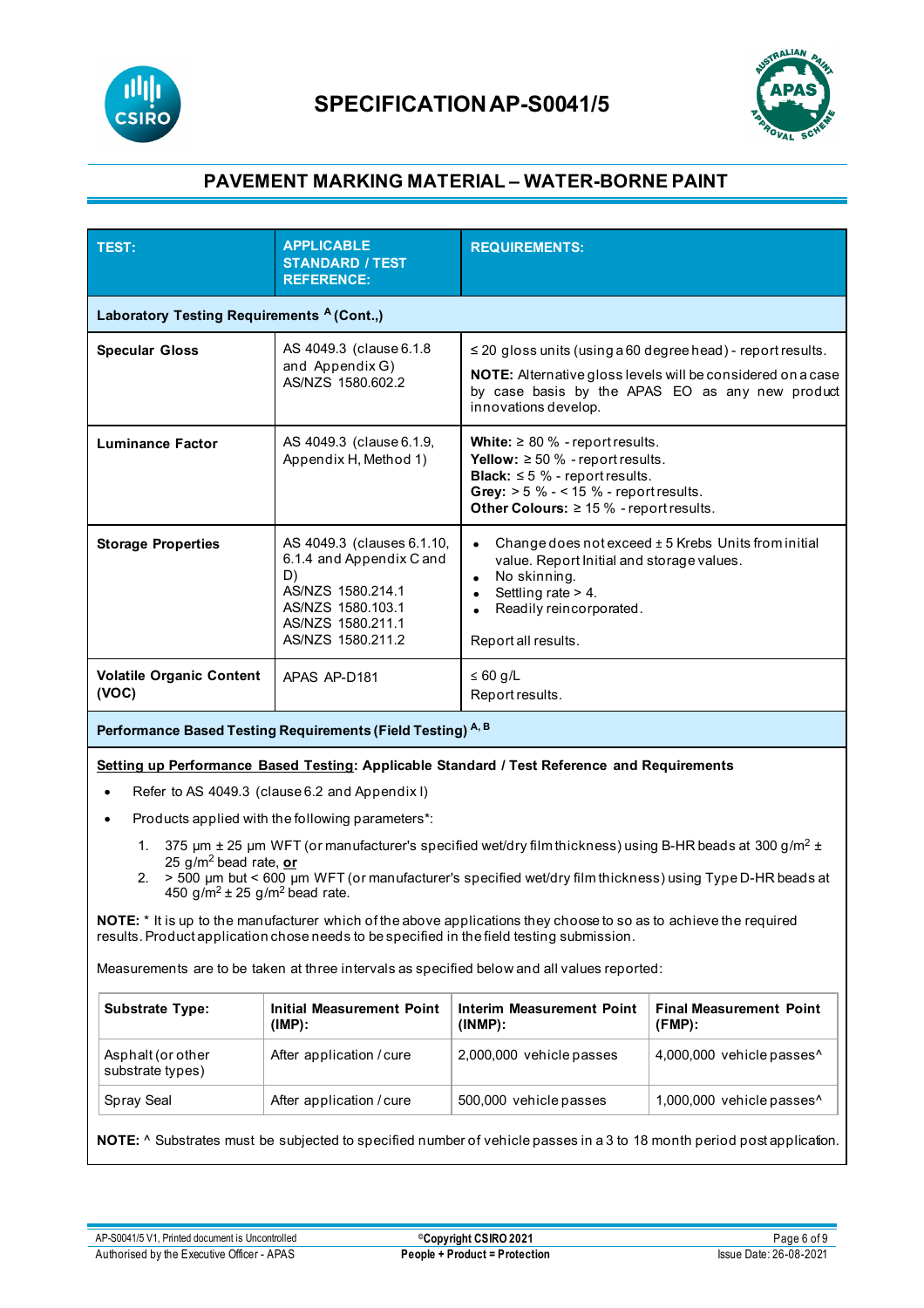



| Laboratory Testing Requirements <sup>A</sup> (Cont.,)<br>AS 4049.3 (clause 6.1.8<br>$\leq$ 20 gloss units (using a 60 degree head) - report results.<br><b>Specular Gloss</b><br>and Appendix G)<br>NOTE: Alternative gloss levels will be considered on a case<br>AS/NZS 1580.602.2<br>by case basis by the APAS EO as any new product<br>innovations develop.<br>AS 4049.3 (clause 6.1.9,<br>White: $\geq 80$ % - report results.<br><b>Luminance Factor</b><br><b>Yellow:</b> $\geq 50$ % - report results.<br>Appendix H, Method 1)<br><b>Black:</b> $\leq$ 5 % - report results.<br>Grey: $> 5 \% - 15 \%$ - report results.<br>Other Colours: $\geq 15$ % - report results.<br>Change does not exceed ± 5 Krebs Units from initial<br>AS 4049.3 (clauses 6.1.10,<br><b>Storage Properties</b><br>6.1.4 and Appendix C and<br>value. Report Initial and storage values.                                                                                                                                        |  | <b>STANDARD / TEST</b><br><b>REFERENCE:</b> |  |                           |  |
|---------------------------------------------------------------------------------------------------------------------------------------------------------------------------------------------------------------------------------------------------------------------------------------------------------------------------------------------------------------------------------------------------------------------------------------------------------------------------------------------------------------------------------------------------------------------------------------------------------------------------------------------------------------------------------------------------------------------------------------------------------------------------------------------------------------------------------------------------------------------------------------------------------------------------------------------------------------------------------------------------------------------|--|---------------------------------------------|--|---------------------------|--|
|                                                                                                                                                                                                                                                                                                                                                                                                                                                                                                                                                                                                                                                                                                                                                                                                                                                                                                                                                                                                                     |  |                                             |  |                           |  |
|                                                                                                                                                                                                                                                                                                                                                                                                                                                                                                                                                                                                                                                                                                                                                                                                                                                                                                                                                                                                                     |  |                                             |  |                           |  |
|                                                                                                                                                                                                                                                                                                                                                                                                                                                                                                                                                                                                                                                                                                                                                                                                                                                                                                                                                                                                                     |  |                                             |  |                           |  |
| D)<br>No skinning.<br>$\bullet$<br>AS/NZS 1580.214.1<br>Settling rate $> 4$ .<br>$\bullet$<br>AS/NZS 1580.103.1<br>Readily reincorporated.<br>AS/NZS 1580.211.1<br>AS/NZS 1580.211.2<br>Report all results.                                                                                                                                                                                                                                                                                                                                                                                                                                                                                                                                                                                                                                                                                                                                                                                                         |  |                                             |  |                           |  |
| <b>Volatile Organic Content</b><br>$\leq 60$ g/L<br>APAS AP-D181<br>(VOC)<br>Report results.                                                                                                                                                                                                                                                                                                                                                                                                                                                                                                                                                                                                                                                                                                                                                                                                                                                                                                                        |  |                                             |  |                           |  |
| Performance Based Testing Requirements (Field Testing) A, B                                                                                                                                                                                                                                                                                                                                                                                                                                                                                                                                                                                                                                                                                                                                                                                                                                                                                                                                                         |  |                                             |  |                           |  |
| Setting up Performance Based Testing: Applicable Standard / Test Reference and Requirements<br>Refer to AS 4049.3 (clause 6.2 and Appendix I)<br>Products applied with the following parameters*:<br>375 $\mu$ m $\pm$ 25 $\mu$ m WFT (or manufacturer's specified wet/dry film thickness) using B-HR beads at 300 g/m <sup>2</sup> $\pm$<br>1.<br>25 g/m <sup>2</sup> bead rate, or<br>> 500 um but < 600 um WFT (or manufacturer's specified wet/dry film thickness) using Type D-HR beads at<br>2.<br>450 g/m <sup>2</sup> ± 25 g/m <sup>2</sup> bead rate.<br>NOTE: * It is up to the manufacturer which of the above applications they choose to so as to achieve the required<br>results. Product application chose needs to be specified in the field testing submission.<br>Measurements are to be taken at three intervals as specified below and all values reported:<br><b>Substrate Type:</b><br><b>Initial Measurement Point</b><br><b>Interim Measurement Point</b><br><b>Final Measurement Point</b> |  |                                             |  |                           |  |
| $(FMP)$ :<br>(IMP):<br>(INMP):<br>Asphalt (or other<br>After application / cure<br>2,000,000 vehicle passes<br>substrate types)                                                                                                                                                                                                                                                                                                                                                                                                                                                                                                                                                                                                                                                                                                                                                                                                                                                                                     |  |                                             |  | 4,000,000 vehicle passes^ |  |
| Spray Seal<br>After application / cure<br>500,000 vehicle passes                                                                                                                                                                                                                                                                                                                                                                                                                                                                                                                                                                                                                                                                                                                                                                                                                                                                                                                                                    |  |                                             |  | 1,000,000 vehicle passes^ |  |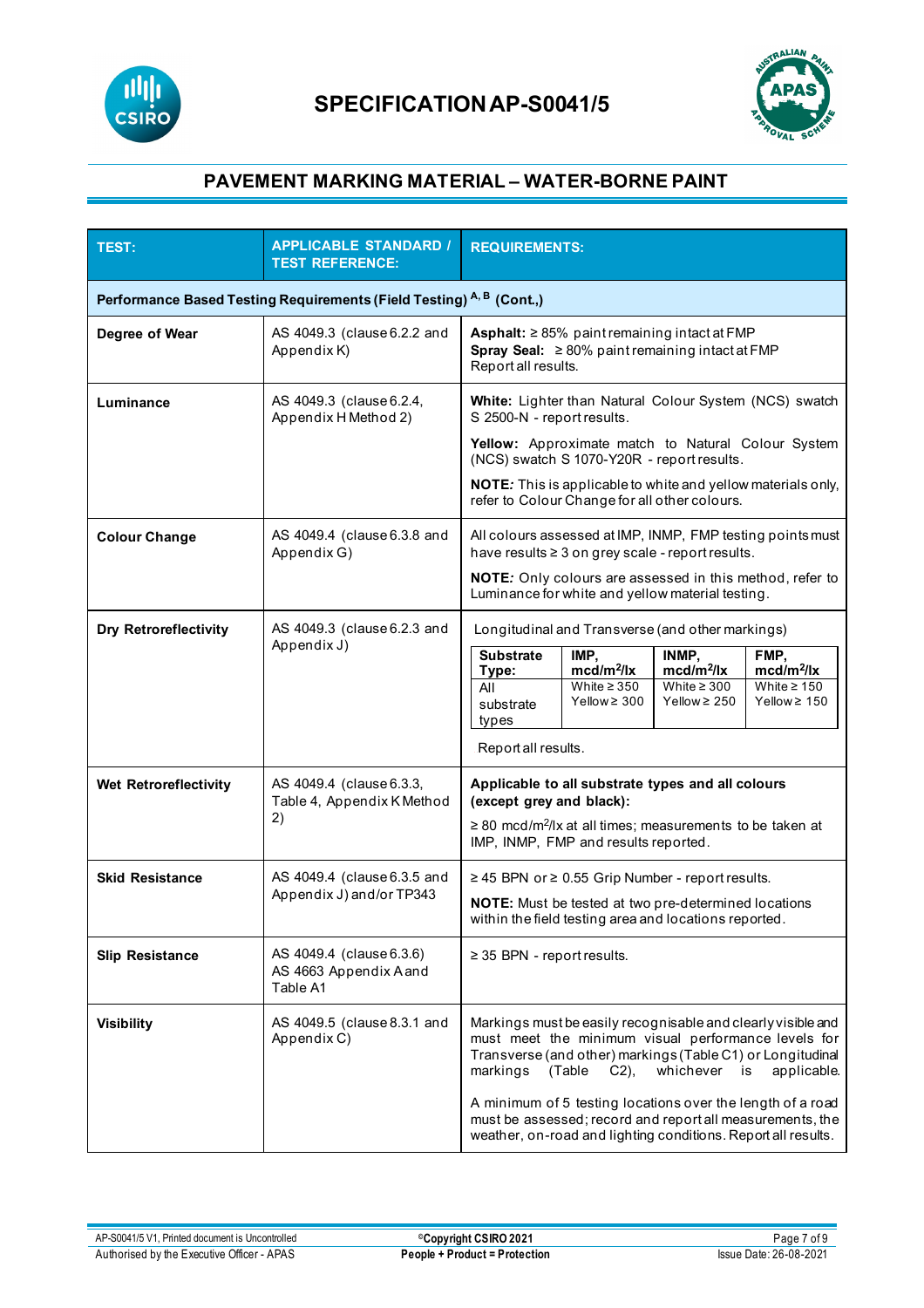



| <b>TEST:</b>                                                         | <b>APPLICABLE STANDARD /</b><br><b>TEST REFERENCE:</b>         | <b>REQUIREMENTS:</b>                                                                                                                                                                                                                              |  |  |  |
|----------------------------------------------------------------------|----------------------------------------------------------------|---------------------------------------------------------------------------------------------------------------------------------------------------------------------------------------------------------------------------------------------------|--|--|--|
| Performance Based Testing Requirements (Field Testing) A, B (Cont.,) |                                                                |                                                                                                                                                                                                                                                   |  |  |  |
| Degree of Wear                                                       | AS 4049.3 (clause 6.2.2 and<br>Appendix K)                     | Asphalt: $\geq$ 85% paint remaining intact at FMP<br>Spray Seal: $\geq 80\%$ paint remaining intact at FMP<br>Report all results.                                                                                                                 |  |  |  |
| Luminance                                                            | AS 4049.3 (clause 6.2.4,<br>Appendix H Method 2)               | White: Lighter than Natural Colour System (NCS) swatch<br>S 2500-N - report results.                                                                                                                                                              |  |  |  |
|                                                                      |                                                                | Yellow: Approximate match to Natural Colour System<br>(NCS) swatch S 1070-Y20R - report results.                                                                                                                                                  |  |  |  |
|                                                                      |                                                                | NOTE: This is applicable to white and yellow materials only,<br>refer to Colour Change for all other colours.                                                                                                                                     |  |  |  |
| <b>Colour Change</b>                                                 | AS 4049.4 (clause 6.3.8 and<br>Appendix G)                     | All colours assessed at IMP, INMP, FMP testing points must<br>have results ≥ 3 on grey scale - report results.                                                                                                                                    |  |  |  |
|                                                                      |                                                                | NOTE: Only colours are assessed in this method, refer to<br>Luminance for white and yellow material testing.                                                                                                                                      |  |  |  |
| <b>Dry Retroreflectivity</b>                                         | AS 4049.3 (clause 6.2.3 and<br>Appendix J)                     | Longitudinal and Transverse (and other markings)                                                                                                                                                                                                  |  |  |  |
|                                                                      |                                                                | <b>Substrate</b><br>FMP,<br>IMP.<br>INMP,<br>$mcd/m^2$ /lx<br>$mcd/m^2/lx$<br>$\text{mcd/m}^2/\text{lx}$<br>Type:                                                                                                                                 |  |  |  |
|                                                                      |                                                                | White $\geq 350$<br>White $\geq 300$<br>White $\geq 150$<br>All<br>Yellow $\geq 300$<br>Yellow $\geq 250$<br>Yellow $\geq 150$<br>substrate<br>types                                                                                              |  |  |  |
|                                                                      |                                                                | Report all results.                                                                                                                                                                                                                               |  |  |  |
| Wet Retroreflectivity                                                | AS 4049.4 (clause 6.3.3,<br>Table 4, Appendix K Method<br>2)   | Applicable to all substrate types and all colours<br>(except grey and black):                                                                                                                                                                     |  |  |  |
|                                                                      |                                                                | ≥ 80 mcd/m <sup>2</sup> /lx at all times; measurements to be taken at<br>IMP, INMP, FMP and results reported.                                                                                                                                     |  |  |  |
| <b>Skid Resistance</b>                                               | AS 4049.4 (clause 6.3.5 and                                    | ≥ 45 BPN or ≥ 0.55 Grip Number - report results.                                                                                                                                                                                                  |  |  |  |
|                                                                      | Appendix J) and/or TP343                                       | NOTE: Must be tested at two pre-determined locations<br>within the field testing area and locations reported.                                                                                                                                     |  |  |  |
| <b>Slip Resistance</b>                                               | AS 4049.4 (clause 6.3.6)<br>AS 4663 Appendix A and<br>Table A1 | $\geq$ 35 BPN - report results.                                                                                                                                                                                                                   |  |  |  |
| <b>Visibility</b>                                                    | AS 4049.5 (clause 8.3.1 and<br>Appendix C)                     | Markings must be easily recognisable and clearly visible and<br>must meet the minimum visual performance levels for<br>Transverse (and other) markings (Table C1) or Longitudinal<br>whichever is<br>markings<br>(Table<br>$C2$ ),<br>applicable. |  |  |  |
|                                                                      |                                                                | A minimum of 5 testing locations over the length of a road<br>must be assessed; record and report all measurements, the<br>weather, on-road and lighting conditions. Report all results.                                                          |  |  |  |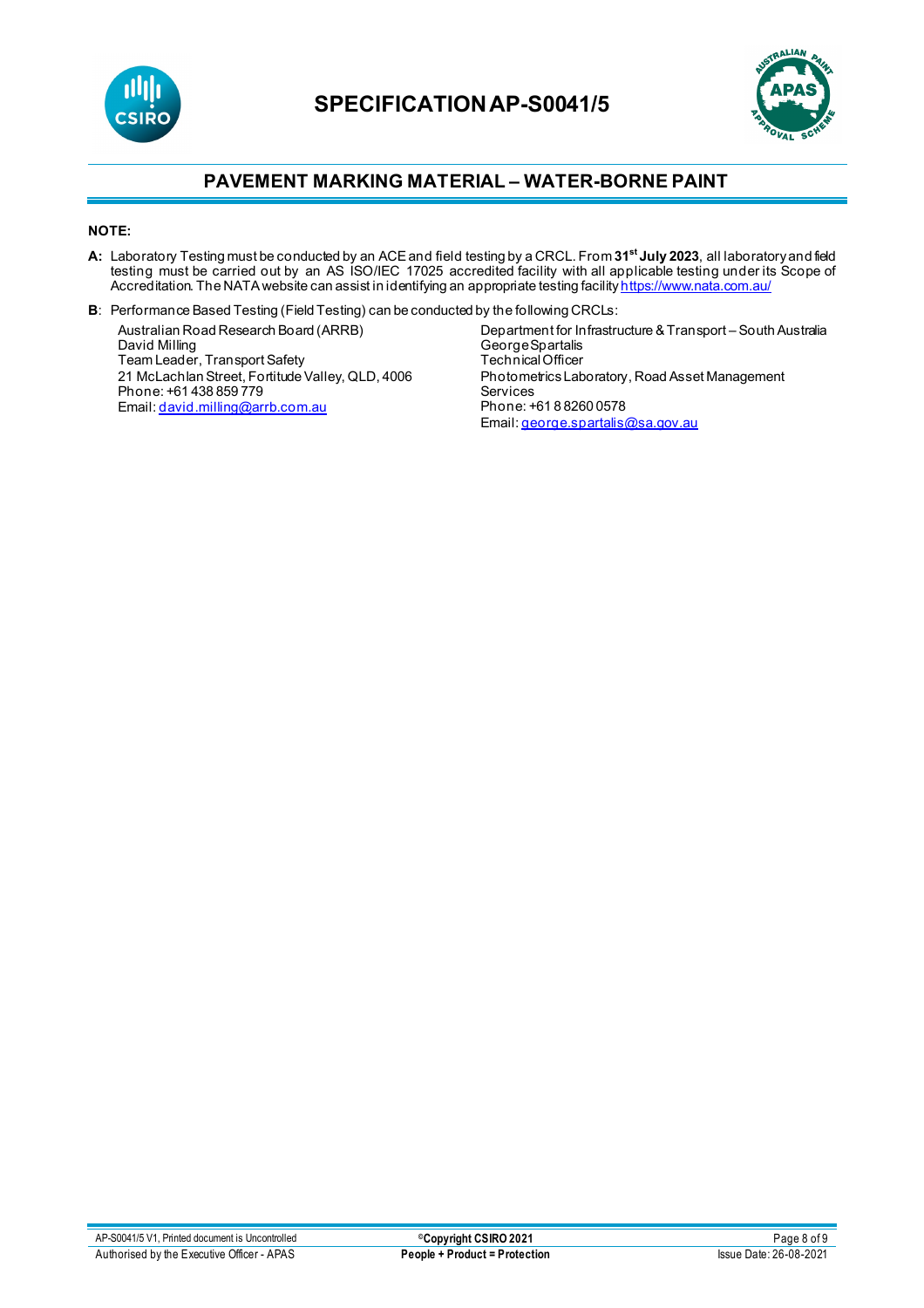



#### **NOTE:**

- **A:** Laboratory Testing must be conducted by an ACE and field testing by a CRCL. From **31st July 2023**, all laboratory and field testing must be carried out by an AS ISO/IEC 17025 accredited facility with all applicable testing under its Scope of Accreditation. The NATA website can assist in identifying an appropriate testing facilit<mark>y <u>https://www.nata.com.au/</u></mark>
- **B**: Performance Based Testing (Field Testing) can be conducted by the following CRCLs:

Australian Road Research Board (ARRB) David Milling Team Leader, Transport Safety 21 McLachlan Street, Fortitude Valley, QLD, 4006 Phone: +61 438 859 779 Email[: david.milling@arrb.com.au](mailto:david.milling@arrb.com.au)

Department for Infrastructure & Transport – South Australia George Spartalis Technical Officer Photometrics Laboratory, Road Asset Management Services Phone: +61 8 8260 0578 Email[: george.spartalis@sa.gov.au](mailto:george.spartalis@sa.gov.au)